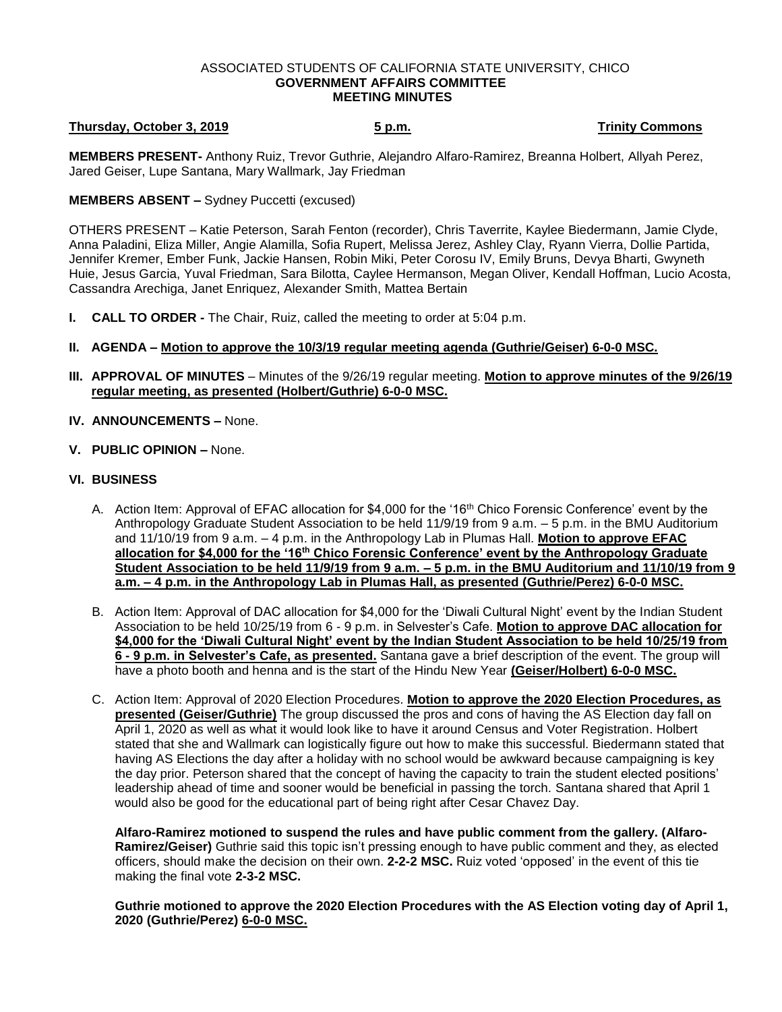#### ASSOCIATED STUDENTS OF CALIFORNIA STATE UNIVERSITY, CHICO **GOVERNMENT AFFAIRS COMMITTEE MEETING MINUTES**

# **Thursday, October 3, 2019 5 p.m. Trinity Commons**

**MEMBERS PRESENT-** Anthony Ruiz, Trevor Guthrie, Alejandro Alfaro-Ramirez, Breanna Holbert, Allyah Perez, Jared Geiser, Lupe Santana, Mary Wallmark, Jay Friedman

### **MEMBERS ABSENT –** Sydney Puccetti (excused)

OTHERS PRESENT – Katie Peterson, Sarah Fenton (recorder), Chris Taverrite, Kaylee Biedermann, Jamie Clyde, Anna Paladini, Eliza Miller, Angie Alamilla, Sofia Rupert, Melissa Jerez, Ashley Clay, Ryann Vierra, Dollie Partida, Jennifer Kremer, Ember Funk, Jackie Hansen, Robin Miki, Peter Corosu IV, Emily Bruns, Devya Bharti, Gwyneth Huie, Jesus Garcia, Yuval Friedman, Sara Bilotta, Caylee Hermanson, Megan Oliver, Kendall Hoffman, Lucio Acosta, Cassandra Arechiga, Janet Enriquez, Alexander Smith, Mattea Bertain

- **I. CALL TO ORDER -** The Chair, Ruiz, called the meeting to order at 5:04 p.m.
- **II. AGENDA – Motion to approve the 10/3/19 regular meeting agenda (Guthrie/Geiser) 6-0-0 MSC.**
- **III. APPROVAL OF MINUTES** Minutes of the 9/26/19 regular meeting. **Motion to approve minutes of the 9/26/19 regular meeting, as presented (Holbert/Guthrie) 6-0-0 MSC.**
- **IV. ANNOUNCEMENTS –** None.
- **V. PUBLIC OPINION –** None.

## **VI. BUSINESS**

- A. Action Item: Approval of EFAC allocation for \$4,000 for the '16th Chico Forensic Conference' event by the Anthropology Graduate Student Association to be held 11/9/19 from 9 a.m. – 5 p.m. in the BMU Auditorium and 11/10/19 from 9 a.m. – 4 p.m. in the Anthropology Lab in Plumas Hall. **Motion to approve EFAC allocation for \$4,000 for the '16th Chico Forensic Conference' event by the Anthropology Graduate Student Association to be held 11/9/19 from 9 a.m. – 5 p.m. in the BMU Auditorium and 11/10/19 from 9 a.m. – 4 p.m. in the Anthropology Lab in Plumas Hall, as presented (Guthrie/Perez) 6-0-0 MSC.**
- B. Action Item: Approval of DAC allocation for \$4,000 for the 'Diwali Cultural Night' event by the Indian Student Association to be held 10/25/19 from 6 - 9 p.m. in Selvester's Cafe. **Motion to approve DAC allocation for \$4,000 for the 'Diwali Cultural Night' event by the Indian Student Association to be held 10/25/19 from 6 - 9 p.m. in Selvester's Cafe, as presented.** Santana gave a brief description of the event. The group will have a photo booth and henna and is the start of the Hindu New Year **(Geiser/Holbert) 6-0-0 MSC.**
- C. Action Item: Approval of 2020 Election Procedures. **Motion to approve the 2020 Election Procedures, as presented (Geiser/Guthrie)** The group discussed the pros and cons of having the AS Election day fall on April 1, 2020 as well as what it would look like to have it around Census and Voter Registration. Holbert stated that she and Wallmark can logistically figure out how to make this successful. Biedermann stated that having AS Elections the day after a holiday with no school would be awkward because campaigning is key the day prior. Peterson shared that the concept of having the capacity to train the student elected positions' leadership ahead of time and sooner would be beneficial in passing the torch. Santana shared that April 1 would also be good for the educational part of being right after Cesar Chavez Day.

**Alfaro-Ramirez motioned to suspend the rules and have public comment from the gallery. (Alfaro-Ramirez/Geiser)** Guthrie said this topic isn't pressing enough to have public comment and they, as elected officers, should make the decision on their own. **2-2-2 MSC.** Ruiz voted 'opposed' in the event of this tie making the final vote **2-3-2 MSC.**

**Guthrie motioned to approve the 2020 Election Procedures with the AS Election voting day of April 1, 2020 (Guthrie/Perez) 6-0-0 MSC.**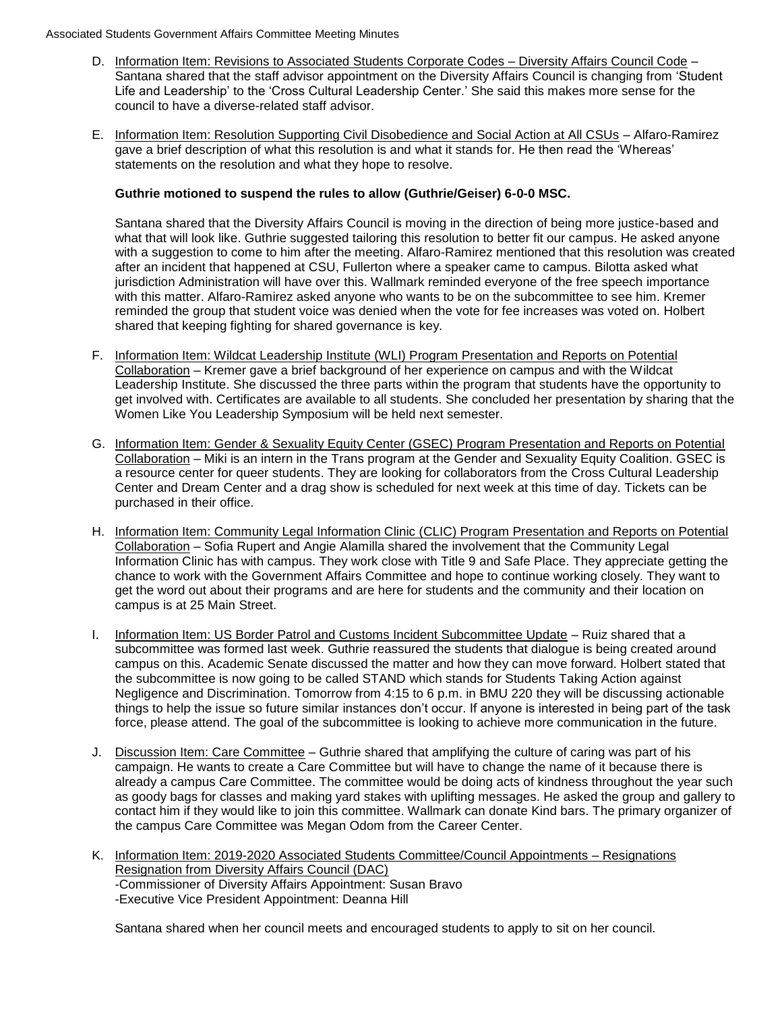- D. Information Item: Revisions to Associated Students Corporate Codes Diversity Affairs Council Code -Santana shared that the staff advisor appointment on the Diversity Affairs Council is changing from 'Student Life and Leadership' to the 'Cross Cultural Leadership Center.' She said this makes more sense for the council to have a diverse-related staff advisor.
- E. Information Item: Resolution Supporting Civil Disobedience and Social Action at All CSUs Alfaro-Ramirez gave a brief description of what this resolution is and what it stands for. He then read the 'Whereas' statements on the resolution and what they hope to resolve.

### **Guthrie motioned to suspend the rules to allow (Guthrie/Geiser) 6-0-0 MSC.**

Santana shared that the Diversity Affairs Council is moving in the direction of being more justice-based and what that will look like. Guthrie suggested tailoring this resolution to better fit our campus. He asked anyone with a suggestion to come to him after the meeting. Alfaro-Ramirez mentioned that this resolution was created after an incident that happened at CSU, Fullerton where a speaker came to campus. Bilotta asked what jurisdiction Administration will have over this. Wallmark reminded everyone of the free speech importance with this matter. Alfaro-Ramirez asked anyone who wants to be on the subcommittee to see him. Kremer reminded the group that student voice was denied when the vote for fee increases was voted on. Holbert shared that keeping fighting for shared governance is key.

- F. Information Item: Wildcat Leadership Institute (WLI) Program Presentation and Reports on Potential Collaboration – Kremer gave a brief background of her experience on campus and with the Wildcat Leadership Institute. She discussed the three parts within the program that students have the opportunity to get involved with. Certificates are available to all students. She concluded her presentation by sharing that the Women Like You Leadership Symposium will be held next semester.
- G. Information Item: Gender & Sexuality Equity Center (GSEC) Program Presentation and Reports on Potential Collaboration – Miki is an intern in the Trans program at the Gender and Sexuality Equity Coalition. GSEC is a resource center for queer students. They are looking for collaborators from the Cross Cultural Leadership Center and Dream Center and a drag show is scheduled for next week at this time of day. Tickets can be purchased in their office.
- H. Information Item: Community Legal Information Clinic (CLIC) Program Presentation and Reports on Potential Collaboration – Sofia Rupert and Angie Alamilla shared the involvement that the Community Legal Information Clinic has with campus. They work close with Title 9 and Safe Place. They appreciate getting the chance to work with the Government Affairs Committee and hope to continue working closely. They want to get the word out about their programs and are here for students and the community and their location on campus is at 25 Main Street.
- I. Information Item: US Border Patrol and Customs Incident Subcommittee Update Ruiz shared that a subcommittee was formed last week. Guthrie reassured the students that dialogue is being created around campus on this. Academic Senate discussed the matter and how they can move forward. Holbert stated that the subcommittee is now going to be called STAND which stands for Students Taking Action against Negligence and Discrimination. Tomorrow from 4:15 to 6 p.m. in BMU 220 they will be discussing actionable things to help the issue so future similar instances don't occur. If anyone is interested in being part of the task force, please attend. The goal of the subcommittee is looking to achieve more communication in the future.
- J. Discussion Item: Care Committee Guthrie shared that amplifying the culture of caring was part of his campaign. He wants to create a Care Committee but will have to change the name of it because there is already a campus Care Committee. The committee would be doing acts of kindness throughout the year such as goody bags for classes and making yard stakes with uplifting messages. He asked the group and gallery to contact him if they would like to join this committee. Wallmark can donate Kind bars. The primary organizer of the campus Care Committee was Megan Odom from the Career Center.
- K. Information Item: 2019-2020 Associated Students Committee/Council Appointments Resignations Resignation from Diversity Affairs Council (DAC) -Commissioner of Diversity Affairs Appointment: Susan Bravo -Executive Vice President Appointment: Deanna Hill

Santana shared when her council meets and encouraged students to apply to sit on her council.